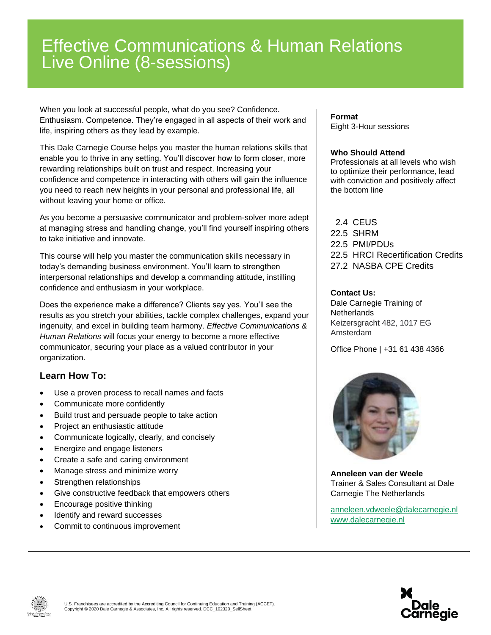# Effective Communications & Human Relations Live Online (8-sessions)

When you look at successful people, what do you see? Confidence. Enthusiasm. Competence. They're engaged in all aspects of their work and life, inspiring others as they lead by example.

This Dale Carnegie Course helps you master the human relations skills that enable you to thrive in any setting. You'll discover how to form closer, more rewarding relationships built on trust and respect. Increasing your confidence and competence in interacting with others will gain the influence you need to reach new heights in your personal and professional life, all without leaving your home or office.

As you become a persuasive communicator and problem-solver more adept at managing stress and handling change, you'll find yourself inspiring others to take initiative and innovate.

This course will help you master the communication skills necessary in today's demanding business environment. You'll learn to strengthen interpersonal relationships and develop a commanding attitude, instilling confidence and enthusiasm in your workplace.

Does the experience make a difference? Clients say yes. You'll see the results as you stretch your abilities, tackle complex challenges, expand your ingenuity, and excel in building team harmony. *Effective Communications & Human Relations* will focus your energy to become a more effective communicator, securing your place as a valued contributor in your organization.

### **Learn How To:**

- Use a proven process to recall names and facts
- Communicate more confidently
- Build trust and persuade people to take action
- Project an enthusiastic attitude
- Communicate logically, clearly, and concisely
- Energize and engage listeners
- Create a safe and caring environment
- Manage stress and minimize worry
- Strengthen relationships
- Give constructive feedback that empowers others
- Encourage positive thinking
- Identify and reward successes
- Commit to continuous improvement

#### **Format** Eight 3-Hour sessions

#### **Who Should Attend**

Professionals at all levels who wish to optimize their performance, lead with conviction and positively affect the bottom line

 2.4 CEUS 22.5 SHRM 22.5 PMI/PDUs 22.5 HRCI Recertification Credits 27.2 NASBA CPE Credits

#### **Contact Us:**

Dale Carnegie Training of **Netherlands** Keizersgracht 482, 1017 EG Amsterdam

Office Phone | +31 61 438 4366



**Anneleen van der Weele** Trainer & Sales Consultant at Dale Carnegie The Netherlands

[anneleen.vdweele@dalecarnegie.nl](mailto:anneleen.vdweele@dalecarnegie.nl?subject=Please%20fill%20in%20the%20subject%20field) [www.dalecarnegie.nl](http://www.dalecarnegie.nl/)